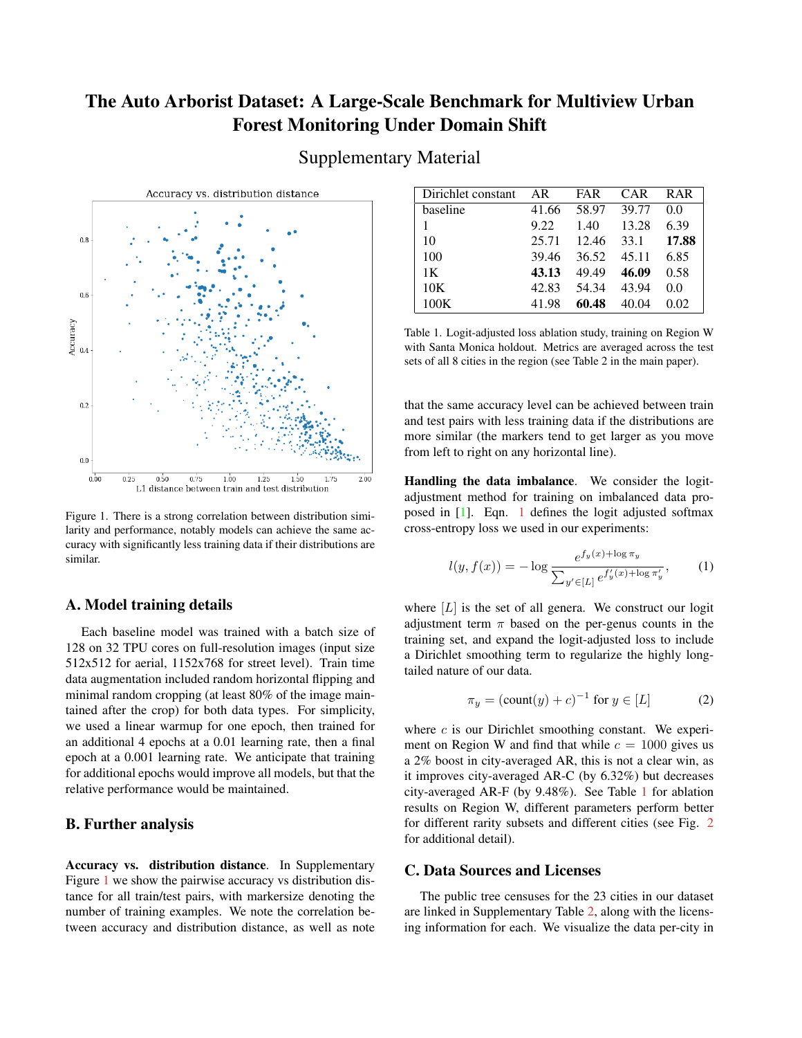# <span id="page-0-3"></span>The Auto Arborist Dataset: A Large-Scale Benchmark for Multiview Urban Forest Monitoring Under Domain Shift



<span id="page-0-0"></span>

Figure 1. There is a strong correlation between distribution similarity and performance, notably models can achieve the same accuracy with significantly less training data if their distributions are similar.

## A. Model training details

Each baseline model was trained with a batch size of 128 on 32 TPU cores on full-resolution images (input size 512x512 for aerial, 1152x768 for street level). Train time data augmentation included random horizontal flipping and minimal random cropping (at least 80% of the image maintained after the crop) for both data types. For simplicity, we used a linear warmup for one epoch, then trained for an additional 4 epochs at a 0.01 learning rate, then a final epoch at a 0.001 learning rate. We anticipate that training for additional epochs would improve all models, but that the relative performance would be maintained.

### B. Further analysis

Accuracy vs. distribution distance. In Supplementary Figure [1](#page-0-0) we show the pairwise accuracy vs distribution distance for all train/test pairs, with markersize denoting the number of training examples. We note the correlation between accuracy and distribution distance, as well as note

<span id="page-0-2"></span>

| Dirichlet constant | AR    | FAR   | <b>CAR</b> | <b>RAR</b> |
|--------------------|-------|-------|------------|------------|
| baseline           | 41.66 | 58.97 | 39.77      | 0.0        |
|                    | 9.22  | 1.40  | 13.28      | 6.39       |
| 10                 | 25.71 | 12.46 | 33.1       | 17.88      |
| 100                | 39.46 | 36.52 | 45.11      | 6.85       |
| 1 <sup>K</sup>     | 43.13 | 49.49 | 46.09      | 0.58       |
| 10K                | 42.83 | 54.34 | 43.94      | 0.0        |
| 100K               | 41.98 | 60.48 | 40.04      | 0.02       |

Table 1. Logit-adjusted loss ablation study, training on Region W with Santa Monica holdout. Metrics are averaged across the test sets of all 8 cities in the region (see Table 2 in the main paper).

that the same accuracy level can be achieved between train and test pairs with less training data if the distributions are more similar (the markers tend to get larger as you move from left to right on any horizontal line).

Handling the data imbalance. We consider the logitadjustment method for training on imbalanced data proposed in [\[1\]](#page-1-0). Eqn. [1](#page-0-1) defines the logit adjusted softmax cross-entropy loss we used in our experiments:

<span id="page-0-1"></span>
$$
l(y, f(x)) = -\log \frac{e^{f_y(x) + \log \pi_y}}{\sum_{y' \in [L]} e^{f'_y(x) + \log \pi'_y}},\tag{1}
$$

where  $[L]$  is the set of all genera. We construct our logit adjustment term  $\pi$  based on the per-genus counts in the training set, and expand the logit-adjusted loss to include a Dirichlet smoothing term to regularize the highly longtailed nature of our data.

$$
\pi_y = (\text{count}(y) + c)^{-1} \text{ for } y \in [L] \tag{2}
$$

where  $c$  is our Dirichlet smoothing constant. We experiment on Region W and find that while  $c = 1000$  gives us a 2% boost in city-averaged AR, this is not a clear win, as it improves city-averaged AR-C (by 6.32%) but decreases city-averaged AR-F (by 9.48%). See Table [1](#page-0-2) for ablation results on Region W, different parameters perform better for different rarity subsets and different cities (see Fig. [2](#page-1-1) for additional detail).

#### C. Data Sources and Licenses

The public tree censuses for the 23 cities in our dataset are linked in Supplementary Table [2,](#page-2-0) along with the licensing information for each. We visualize the data per-city in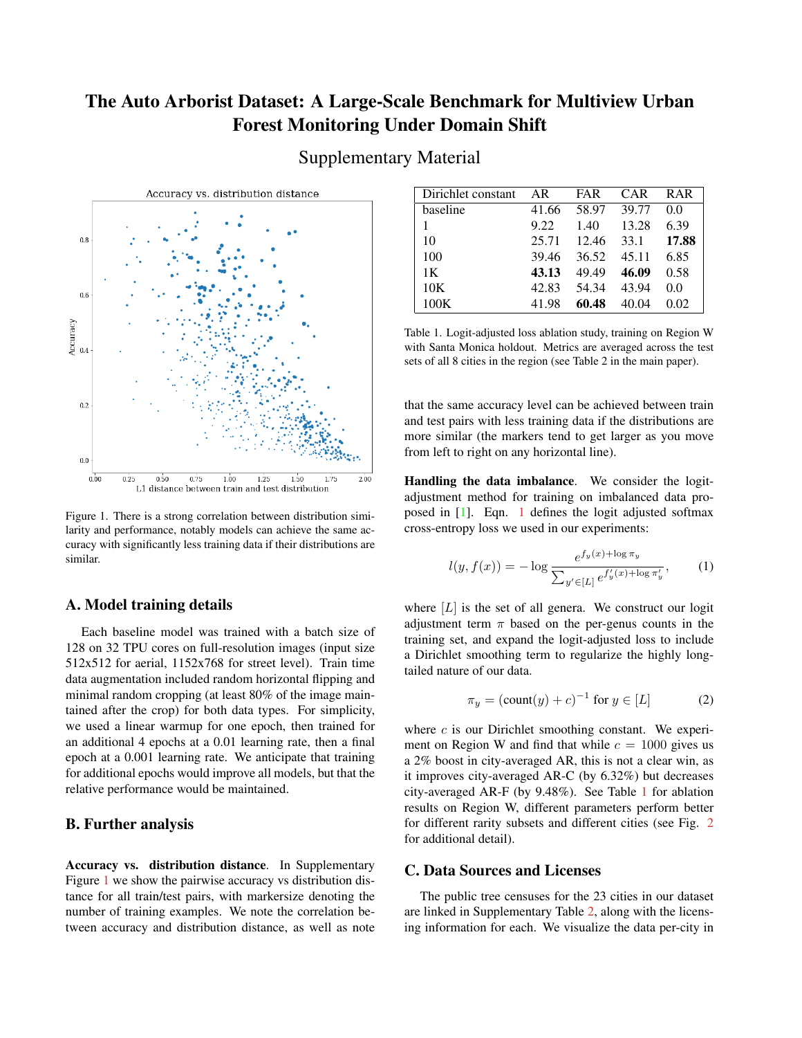<span id="page-1-1"></span>

Figure 2. Loss balancing results per-city as well as averages across the Region W cities, for different values of our Dirichlet smoothing constant c. You can see the explicit tradeoff between frequent and common classes, with rare classes remaining a significant challenge. Baseline results are shown as a black line.

Figure [3,](#page-3-0) showing the coordinates of each tree as well as coloring the most common genera to show regional shifts in distribution.

# References

<span id="page-1-0"></span>[1] Aditya Krishna Menon, Sadeep Jayasumana, Ankit Singh Rawat, Himanshu Jain, Andreas Veit, and Sanjiv Kumar. Long-tail learning via logit adjustment. *arXiv preprint arXiv:2007.07314*, 2020. [1](#page-0-3)